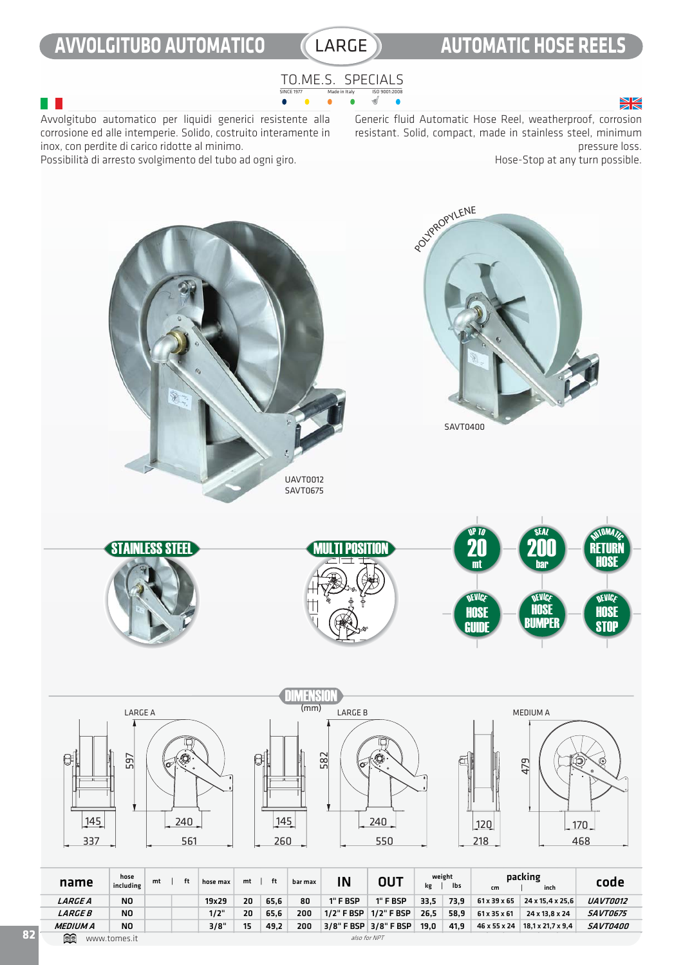# **AVVOLGITUBO AUTOMATICO** LARGE **AUTOMATIC HOSE REELS**

### TO.ME.S. SPECIALS SINCE 1977 Made in Italy ISO 9001:2008  $\bullet$

## $\geq$

Avvolgitubo automatico per liquidi generici resistente alla corrosione ed alle intemperie. Solido, costruito interamente in inox, con perdite di carico ridotte al minimo.

Possibilità di arresto svolgimento del tubo ad ogni giro.

Generic fluid Automatic Hose Reel, weatherproof, corrosion resistant. Solid, compact, made in stainless steel, minimum pressure loss.

Hose-Stop at any turn possible.